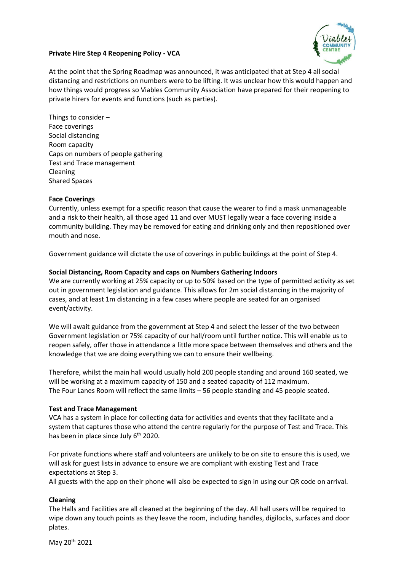

# **Private Hire Step 4 Reopening Policy - VCA**

At the point that the Spring Roadmap was announced, it was anticipated that at Step 4 all social distancing and restrictions on numbers were to be lifting. It was unclear how this would happen and how things would progress so Viables Community Association have prepared for their reopening to private hirers for events and functions (such as parties).

Things to consider – Face coverings Social distancing Room capacity Caps on numbers of people gathering Test and Trace management Cleaning Shared Spaces

# **Face Coverings**

Currently, unless exempt for a specific reason that cause the wearer to find a mask unmanageable and a risk to their health, all those aged 11 and over MUST legally wear a face covering inside a community building. They may be removed for eating and drinking only and then repositioned over mouth and nose.

Government guidance will dictate the use of coverings in public buildings at the point of Step 4.

# **Social Distancing, Room Capacity and caps on Numbers Gathering Indoors**

We are currently working at 25% capacity or up to 50% based on the type of permitted activity as set out in government legislation and guidance. This allows for 2m social distancing in the majority of cases, and at least 1m distancing in a few cases where people are seated for an organised event/activity.

We will await guidance from the government at Step 4 and select the lesser of the two between Government legislation or 75% capacity of our hall/room until further notice. This will enable us to reopen safely, offer those in attendance a little more space between themselves and others and the knowledge that we are doing everything we can to ensure their wellbeing.

Therefore, whilst the main hall would usually hold 200 people standing and around 160 seated, we will be working at a maximum capacity of 150 and a seated capacity of 112 maximum. The Four Lanes Room will reflect the same limits – 56 people standing and 45 people seated.

## **Test and Trace Management**

VCA has a system in place for collecting data for activities and events that they facilitate and a system that captures those who attend the centre regularly for the purpose of Test and Trace. This has been in place since July  $6<sup>th</sup>$  2020.

For private functions where staff and volunteers are unlikely to be on site to ensure this is used, we will ask for guest lists in advance to ensure we are compliant with existing Test and Trace expectations at Step 3.

All guests with the app on their phone will also be expected to sign in using our QR code on arrival.

## **Cleaning**

The Halls and Facilities are all cleaned at the beginning of the day. All hall users will be required to wipe down any touch points as they leave the room, including handles, digilocks, surfaces and door plates.